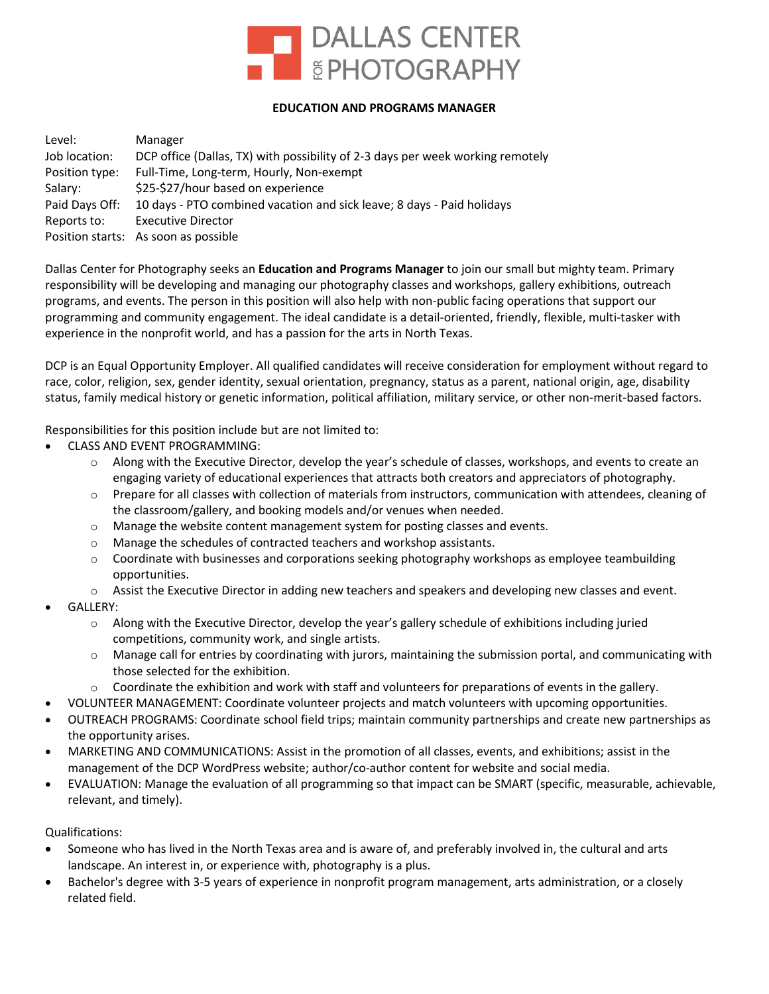

## **EDUCATION AND PROGRAMS MANAGER**

| Level:         | Manager                                                                        |
|----------------|--------------------------------------------------------------------------------|
| Job location:  | DCP office (Dallas, TX) with possibility of 2-3 days per week working remotely |
| Position type: | Full-Time, Long-term, Hourly, Non-exempt                                       |
| Salary:        | \$25-\$27/hour based on experience                                             |
| Paid Days Off: | 10 days - PTO combined vacation and sick leave; 8 days - Paid holidays         |
| Reports to:    | <b>Executive Director</b>                                                      |
|                | Position starts: As soon as possible                                           |
|                |                                                                                |

Dallas Center for Photography seeks an **Education and Programs Manager** to join our small but mighty team. Primary responsibility will be developing and managing our photography classes and workshops, gallery exhibitions, outreach programs, and events. The person in this position will also help with non-public facing operations that support our programming and community engagement. The ideal candidate is a detail-oriented, friendly, flexible, multi-tasker with experience in the nonprofit world, and has a passion for the arts in North Texas.

DCP is an Equal Opportunity Employer. All qualified candidates will receive consideration for employment without regard to race, color, religion, sex, gender identity, sexual orientation, pregnancy, status as a parent, national origin, age, disability status, family medical history or genetic information, political affiliation, military service, or other non-merit-based factors.

Responsibilities for this position include but are not limited to:

- CLASS AND EVENT PROGRAMMING:
	- o Along with the Executive Director, develop the year's schedule of classes, workshops, and events to create an engaging variety of educational experiences that attracts both creators and appreciators of photography.
	- $\circ$  Prepare for all classes with collection of materials from instructors, communication with attendees, cleaning of the classroom/gallery, and booking models and/or venues when needed.
	- o Manage the website content management system for posting classes and events.
	- o Manage the schedules of contracted teachers and workshop assistants.
	- $\circ$  Coordinate with businesses and corporations seeking photography workshops as employee teambuilding opportunities.
	- o Assist the Executive Director in adding new teachers and speakers and developing new classes and event.
- GALLERY:
	- $\circ$  Along with the Executive Director, develop the year's gallery schedule of exhibitions including juried competitions, community work, and single artists.
	- o Manage call for entries by coordinating with jurors, maintaining the submission portal, and communicating with those selected for the exhibition.
	- $\circ$  Coordinate the exhibition and work with staff and volunteers for preparations of events in the gallery.
- VOLUNTEER MANAGEMENT: Coordinate volunteer projects and match volunteers with upcoming opportunities.
- OUTREACH PROGRAMS: Coordinate school field trips; maintain community partnerships and create new partnerships as the opportunity arises.
- MARKETING AND COMMUNICATIONS: Assist in the promotion of all classes, events, and exhibitions; assist in the management of the DCP WordPress website; author/co-author content for website and social media.
- EVALUATION: Manage the evaluation of all programming so that impact can be SMART (specific, measurable, achievable, relevant, and timely).

Qualifications:

- Someone who has lived in the North Texas area and is aware of, and preferably involved in, the cultural and arts landscape. An interest in, or experience with, photography is a plus.
- Bachelor's degree with 3-5 years of experience in nonprofit program management, arts administration, or a closely related field.